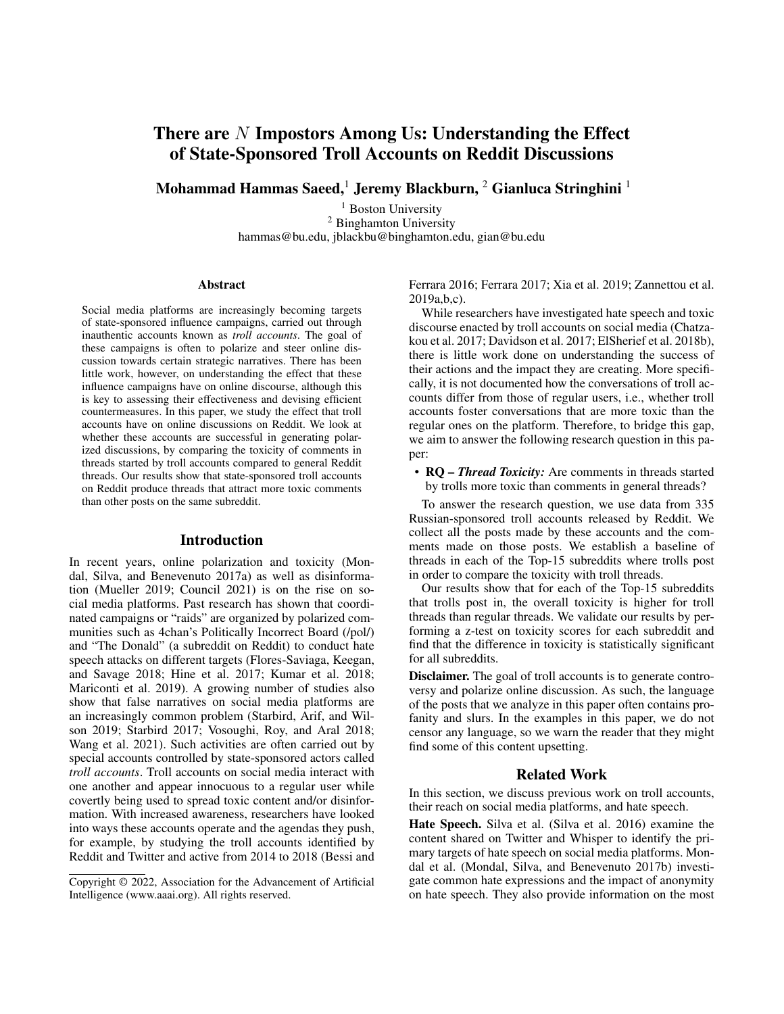# There are  $N$  Impostors Among Us: Understanding the Effect of State-Sponsored Troll Accounts on Reddit Discussions

Mohammad Hammas Saeed,<sup>1</sup> Jeremy Blackburn, <sup>2</sup> Gianluca Stringhini <sup>1</sup>

<sup>1</sup> Boston University <sup>2</sup> Binghamton University hammas@bu.edu, jblackbu@binghamton.edu, gian@bu.edu

#### Abstract

Social media platforms are increasingly becoming targets of state-sponsored influence campaigns, carried out through inauthentic accounts known as *troll accounts*. The goal of these campaigns is often to polarize and steer online discussion towards certain strategic narratives. There has been little work, however, on understanding the effect that these influence campaigns have on online discourse, although this is key to assessing their effectiveness and devising efficient countermeasures. In this paper, we study the effect that troll accounts have on online discussions on Reddit. We look at whether these accounts are successful in generating polarized discussions, by comparing the toxicity of comments in threads started by troll accounts compared to general Reddit threads. Our results show that state-sponsored troll accounts on Reddit produce threads that attract more toxic comments than other posts on the same subreddit.

#### Introduction

In recent years, online polarization and toxicity (Mondal, Silva, and Benevenuto 2017a) as well as disinformation (Mueller 2019; Council 2021) is on the rise on social media platforms. Past research has shown that coordinated campaigns or "raids" are organized by polarized communities such as 4chan's Politically Incorrect Board (/pol/) and "The Donald" (a subreddit on Reddit) to conduct hate speech attacks on different targets (Flores-Saviaga, Keegan, and Savage 2018; Hine et al. 2017; Kumar et al. 2018; Mariconti et al. 2019). A growing number of studies also show that false narratives on social media platforms are an increasingly common problem (Starbird, Arif, and Wilson 2019; Starbird 2017; Vosoughi, Roy, and Aral 2018; Wang et al. 2021). Such activities are often carried out by special accounts controlled by state-sponsored actors called *troll accounts*. Troll accounts on social media interact with one another and appear innocuous to a regular user while covertly being used to spread toxic content and/or disinformation. With increased awareness, researchers have looked into ways these accounts operate and the agendas they push, for example, by studying the troll accounts identified by Reddit and Twitter and active from 2014 to 2018 (Bessi and Ferrara 2016; Ferrara 2017; Xia et al. 2019; Zannettou et al. 2019a,b,c).

While researchers have investigated hate speech and toxic discourse enacted by troll accounts on social media (Chatzakou et al. 2017; Davidson et al. 2017; ElSherief et al. 2018b), there is little work done on understanding the success of their actions and the impact they are creating. More specifically, it is not documented how the conversations of troll accounts differ from those of regular users, i.e., whether troll accounts foster conversations that are more toxic than the regular ones on the platform. Therefore, to bridge this gap, we aim to answer the following research question in this paper:

• RQ – *Thread Toxicity:* Are comments in threads started by trolls more toxic than comments in general threads?

To answer the research question, we use data from 335 Russian-sponsored troll accounts released by Reddit. We collect all the posts made by these accounts and the comments made on those posts. We establish a baseline of threads in each of the Top-15 subreddits where trolls post in order to compare the toxicity with troll threads.

Our results show that for each of the Top-15 subreddits that trolls post in, the overall toxicity is higher for troll threads than regular threads. We validate our results by performing a z-test on toxicity scores for each subreddit and find that the difference in toxicity is statistically significant for all subreddits.

Disclaimer. The goal of troll accounts is to generate controversy and polarize online discussion. As such, the language of the posts that we analyze in this paper often contains profanity and slurs. In the examples in this paper, we do not censor any language, so we warn the reader that they might find some of this content upsetting.

### Related Work

In this section, we discuss previous work on troll accounts, their reach on social media platforms, and hate speech.

Hate Speech. Silva et al. (Silva et al. 2016) examine the content shared on Twitter and Whisper to identify the primary targets of hate speech on social media platforms. Mondal et al. (Mondal, Silva, and Benevenuto 2017b) investigate common hate expressions and the impact of anonymity on hate speech. They also provide information on the most

Copyright © 2022, Association for the Advancement of Artificial Intelligence (www.aaai.org). All rights reserved.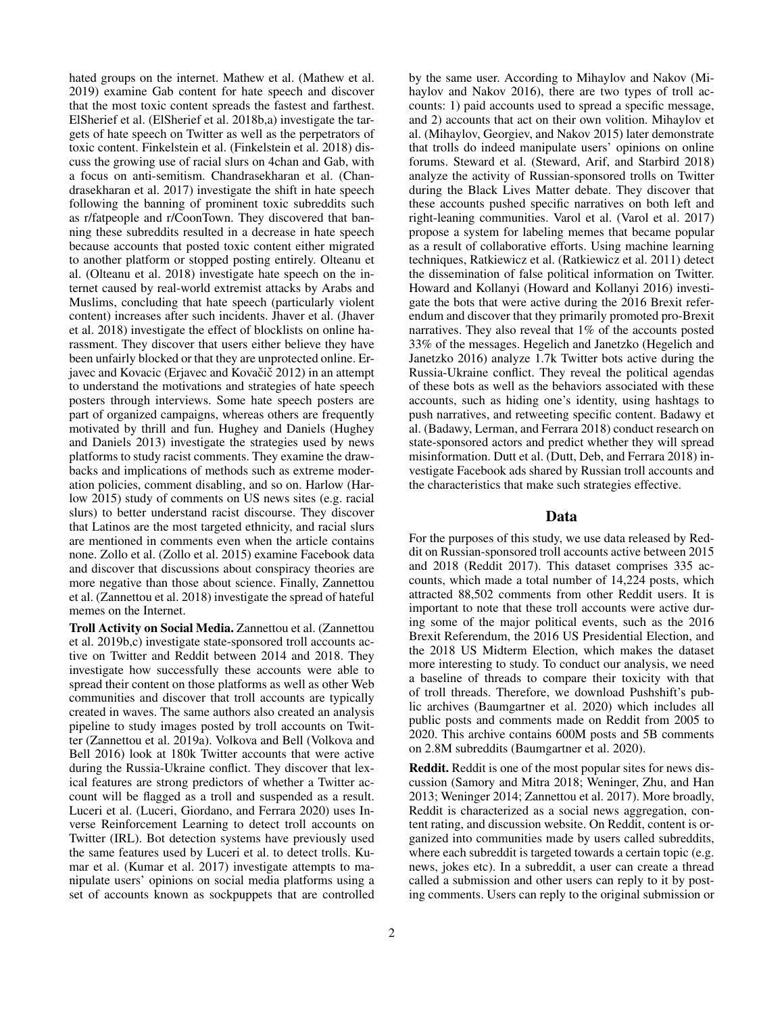hated groups on the internet. Mathew et al. (Mathew et al. 2019) examine Gab content for hate speech and discover that the most toxic content spreads the fastest and farthest. ElSherief et al. (ElSherief et al. 2018b,a) investigate the targets of hate speech on Twitter as well as the perpetrators of toxic content. Finkelstein et al. (Finkelstein et al. 2018) discuss the growing use of racial slurs on 4chan and Gab, with a focus on anti-semitism. Chandrasekharan et al. (Chandrasekharan et al. 2017) investigate the shift in hate speech following the banning of prominent toxic subreddits such as r/fatpeople and r/CoonTown. They discovered that banning these subreddits resulted in a decrease in hate speech because accounts that posted toxic content either migrated to another platform or stopped posting entirely. Olteanu et al. (Olteanu et al. 2018) investigate hate speech on the internet caused by real-world extremist attacks by Arabs and Muslims, concluding that hate speech (particularly violent content) increases after such incidents. Jhaver et al. (Jhaver et al. 2018) investigate the effect of blocklists on online harassment. They discover that users either believe they have been unfairly blocked or that they are unprotected online. Erjavec and Kovacic (Erjavec and Kovačič 2012) in an attempt to understand the motivations and strategies of hate speech posters through interviews. Some hate speech posters are part of organized campaigns, whereas others are frequently motivated by thrill and fun. Hughey and Daniels (Hughey and Daniels 2013) investigate the strategies used by news platforms to study racist comments. They examine the drawbacks and implications of methods such as extreme moderation policies, comment disabling, and so on. Harlow (Harlow 2015) study of comments on US news sites (e.g. racial slurs) to better understand racist discourse. They discover that Latinos are the most targeted ethnicity, and racial slurs are mentioned in comments even when the article contains none. Zollo et al. (Zollo et al. 2015) examine Facebook data and discover that discussions about conspiracy theories are more negative than those about science. Finally, Zannettou et al. (Zannettou et al. 2018) investigate the spread of hateful memes on the Internet.

Troll Activity on Social Media. Zannettou et al. (Zannettou et al. 2019b,c) investigate state-sponsored troll accounts active on Twitter and Reddit between 2014 and 2018. They investigate how successfully these accounts were able to spread their content on those platforms as well as other Web communities and discover that troll accounts are typically created in waves. The same authors also created an analysis pipeline to study images posted by troll accounts on Twitter (Zannettou et al. 2019a). Volkova and Bell (Volkova and Bell 2016) look at 180k Twitter accounts that were active during the Russia-Ukraine conflict. They discover that lexical features are strong predictors of whether a Twitter account will be flagged as a troll and suspended as a result. Luceri et al. (Luceri, Giordano, and Ferrara 2020) uses Inverse Reinforcement Learning to detect troll accounts on Twitter (IRL). Bot detection systems have previously used the same features used by Luceri et al. to detect trolls. Kumar et al. (Kumar et al. 2017) investigate attempts to manipulate users' opinions on social media platforms using a set of accounts known as sockpuppets that are controlled

2

by the same user. According to Mihaylov and Nakov (Mihaylov and Nakov 2016), there are two types of troll accounts: 1) paid accounts used to spread a specific message, and 2) accounts that act on their own volition. Mihaylov et al. (Mihaylov, Georgiev, and Nakov 2015) later demonstrate that trolls do indeed manipulate users' opinions on online forums. Steward et al. (Steward, Arif, and Starbird 2018) analyze the activity of Russian-sponsored trolls on Twitter during the Black Lives Matter debate. They discover that these accounts pushed specific narratives on both left and right-leaning communities. Varol et al. (Varol et al. 2017) propose a system for labeling memes that became popular as a result of collaborative efforts. Using machine learning techniques, Ratkiewicz et al. (Ratkiewicz et al. 2011) detect the dissemination of false political information on Twitter. Howard and Kollanyi (Howard and Kollanyi 2016) investigate the bots that were active during the 2016 Brexit referendum and discover that they primarily promoted pro-Brexit narratives. They also reveal that 1% of the accounts posted 33% of the messages. Hegelich and Janetzko (Hegelich and Janetzko 2016) analyze 1.7k Twitter bots active during the Russia-Ukraine conflict. They reveal the political agendas of these bots as well as the behaviors associated with these accounts, such as hiding one's identity, using hashtags to push narratives, and retweeting specific content. Badawy et al. (Badawy, Lerman, and Ferrara 2018) conduct research on state-sponsored actors and predict whether they will spread misinformation. Dutt et al. (Dutt, Deb, and Ferrara 2018) investigate Facebook ads shared by Russian troll accounts and the characteristics that make such strategies effective.

### Data

For the purposes of this study, we use data released by Reddit on Russian-sponsored troll accounts active between 2015 and 2018 (Reddit 2017). This dataset comprises 335 accounts, which made a total number of 14,224 posts, which attracted 88,502 comments from other Reddit users. It is important to note that these troll accounts were active during some of the major political events, such as the 2016 Brexit Referendum, the 2016 US Presidential Election, and the 2018 US Midterm Election, which makes the dataset more interesting to study. To conduct our analysis, we need a baseline of threads to compare their toxicity with that of troll threads. Therefore, we download Pushshift's public archives (Baumgartner et al. 2020) which includes all public posts and comments made on Reddit from 2005 to 2020. This archive contains 600M posts and 5B comments on 2.8M subreddits (Baumgartner et al. 2020).

Reddit. Reddit is one of the most popular sites for news discussion (Samory and Mitra 2018; Weninger, Zhu, and Han 2013; Weninger 2014; Zannettou et al. 2017). More broadly, Reddit is characterized as a social news aggregation, content rating, and discussion website. On Reddit, content is organized into communities made by users called subreddits, where each subreddit is targeted towards a certain topic (e.g. news, jokes etc). In a subreddit, a user can create a thread called a submission and other users can reply to it by posting comments. Users can reply to the original submission or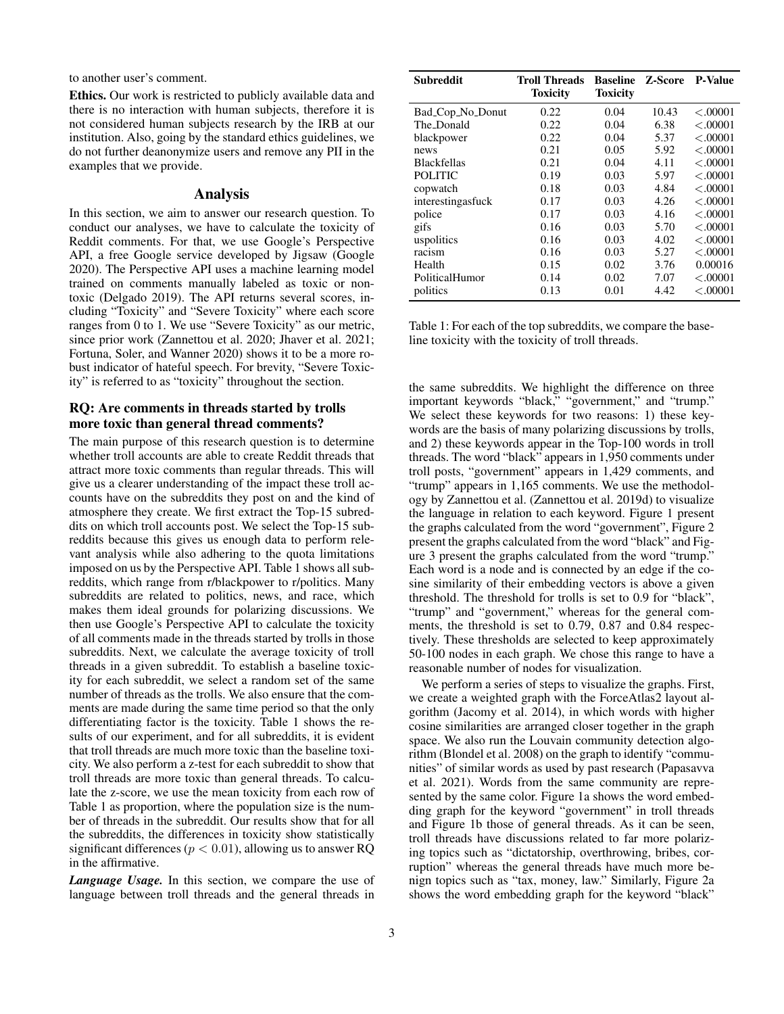to another user's comment.

Ethics. Our work is restricted to publicly available data and there is no interaction with human subjects, therefore it is not considered human subjects research by the IRB at our institution. Also, going by the standard ethics guidelines, we do not further deanonymize users and remove any PII in the examples that we provide.

#### Analysis

In this section, we aim to answer our research question. To conduct our analyses, we have to calculate the toxicity of Reddit comments. For that, we use Google's Perspective API, a free Google service developed by Jigsaw (Google 2020). The Perspective API uses a machine learning model trained on comments manually labeled as toxic or nontoxic (Delgado 2019). The API returns several scores, including "Toxicity" and "Severe Toxicity" where each score ranges from 0 to 1. We use "Severe Toxicity" as our metric, since prior work (Zannettou et al. 2020; Jhaver et al. 2021; Fortuna, Soler, and Wanner 2020) shows it to be a more robust indicator of hateful speech. For brevity, "Severe Toxicity" is referred to as "toxicity" throughout the section.

### RQ: Are comments in threads started by trolls more toxic than general thread comments?

The main purpose of this research question is to determine whether troll accounts are able to create Reddit threads that attract more toxic comments than regular threads. This will give us a clearer understanding of the impact these troll accounts have on the subreddits they post on and the kind of atmosphere they create. We first extract the Top-15 subreddits on which troll accounts post. We select the Top-15 subreddits because this gives us enough data to perform relevant analysis while also adhering to the quota limitations imposed on us by the Perspective API. Table 1 shows all subreddits, which range from r/blackpower to r/politics. Many subreddits are related to politics, news, and race, which makes them ideal grounds for polarizing discussions. We then use Google's Perspective API to calculate the toxicity of all comments made in the threads started by trolls in those subreddits. Next, we calculate the average toxicity of troll threads in a given subreddit. To establish a baseline toxicity for each subreddit, we select a random set of the same number of threads as the trolls. We also ensure that the comments are made during the same time period so that the only differentiating factor is the toxicity. Table 1 shows the results of our experiment, and for all subreddits, it is evident that troll threads are much more toxic than the baseline toxicity. We also perform a z-test for each subreddit to show that troll threads are more toxic than general threads. To calculate the z-score, we use the mean toxicity from each row of Table 1 as proportion, where the population size is the number of threads in the subreddit. Our results show that for all the subreddits, the differences in toxicity show statistically significant differences ( $p < 0.01$ ), allowing us to answer RQ in the affirmative.

*Language Usage.* In this section, we compare the use of language between troll threads and the general threads in

| <b>Subreddit</b>   | Troll Threads<br><b>Toxicity</b> | <b>Baseline</b><br>Toxicity | Z-Score | <b>P-Value</b> |
|--------------------|----------------------------------|-----------------------------|---------|----------------|
| Bad_Cop_No_Donut   | 0.22                             | 0.04                        | 10.43   | < .00001       |
| The_Donald         | 0.22                             | 0.04                        | 6.38    | < 00001        |
| blackpower         | 0.22                             | 0.04                        | 5.37    | < 00001        |
| news               | 0.21                             | 0.05                        | 5.92    | < .00001       |
| <b>Blackfellas</b> | 0.21                             | 0.04                        | 4.11    | < .00001       |
| <b>POLITIC</b>     | 0.19                             | 0.03                        | 5.97    | < .00001       |
| copwatch           | 0.18                             | 0.03                        | 4.84    | < .00001       |
| interestingasfuck  | 0.17                             | 0.03                        | 4.26    | < .00001       |
| police             | 0.17                             | 0.03                        | 4.16    | < .00001       |
| gifs               | 0.16                             | 0.03                        | 5.70    | < .00001       |
| uspolitics         | 0.16                             | 0.03                        | 4.02    | < .00001       |
| racism             | 0.16                             | 0.03                        | 5.27    | < .00001       |
| Health             | 0.15                             | 0.02                        | 3.76    | 0.00016        |
| PoliticalHumor     | 0.14                             | 0.02                        | 7.07    | < .00001       |
| politics           | 0.13                             | 0.01                        | 4.42    | < .00001       |

Table 1: For each of the top subreddits, we compare the baseline toxicity with the toxicity of troll threads.

the same subreddits. We highlight the difference on three important keywords "black," "government," and "trump." We select these keywords for two reasons: 1) these keywords are the basis of many polarizing discussions by trolls, and 2) these keywords appear in the Top-100 words in troll threads. The word "black" appears in 1,950 comments under troll posts, "government" appears in 1,429 comments, and "trump" appears in 1,165 comments. We use the methodology by Zannettou et al. (Zannettou et al. 2019d) to visualize the language in relation to each keyword. Figure 1 present the graphs calculated from the word "government", Figure 2 present the graphs calculated from the word "black" and Figure 3 present the graphs calculated from the word "trump." Each word is a node and is connected by an edge if the cosine similarity of their embedding vectors is above a given threshold. The threshold for trolls is set to 0.9 for "black", "trump" and "government," whereas for the general comments, the threshold is set to 0.79, 0.87 and 0.84 respectively. These thresholds are selected to keep approximately 50-100 nodes in each graph. We chose this range to have a reasonable number of nodes for visualization.

We perform a series of steps to visualize the graphs. First, we create a weighted graph with the ForceAtlas2 layout algorithm (Jacomy et al. 2014), in which words with higher cosine similarities are arranged closer together in the graph space. We also run the Louvain community detection algorithm (Blondel et al. 2008) on the graph to identify "communities" of similar words as used by past research (Papasavva et al. 2021). Words from the same community are represented by the same color. Figure 1a shows the word embedding graph for the keyword "government" in troll threads and Figure 1b those of general threads. As it can be seen, troll threads have discussions related to far more polarizing topics such as "dictatorship, overthrowing, bribes, corruption" whereas the general threads have much more benign topics such as "tax, money, law." Similarly, Figure 2a shows the word embedding graph for the keyword "black"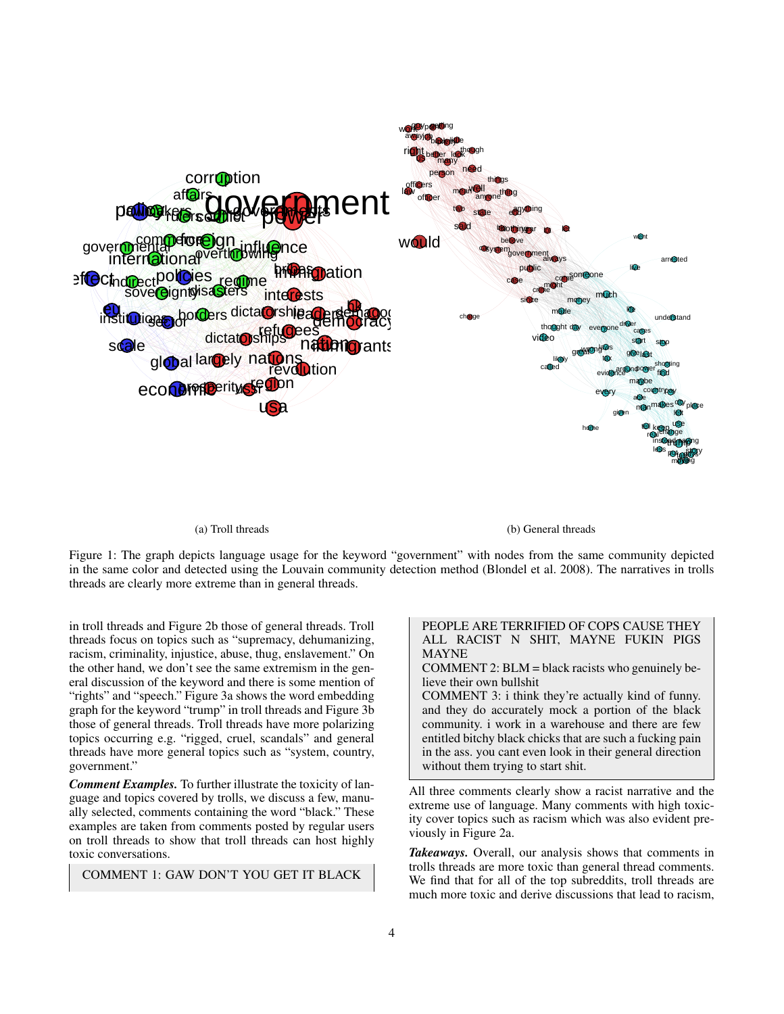

#### (a) Troll threads

(b) General threads

Figure 1: The graph depicts language usage for the keyword "government" with nodes from the same community depicted in the same color and detected using the Louvain community detection method (Blondel et al. 2008). The narratives in trolls threads are clearly more extreme than in general threads.

in troll threads and Figure 2b those of general threads. Troll threads focus on topics such as "supremacy, dehumanizing, racism, criminality, injustice, abuse, thug, enslavement." On the other hand, we don't see the same extremism in the general discussion of the keyword and there is some mention of "rights" and "speech." Figure 3a shows the word embedding graph for the keyword "trump" in troll threads and Figure 3b those of general threads. Troll threads have more polarizing topics occurring e.g. "rigged, cruel, scandals" and general threads have more general topics such as "system, country, government."

*Comment Examples.* To further illustrate the toxicity of language and topics covered by trolls, we discuss a few, manually selected, comments containing the word "black." These examples are taken from comments posted by regular users on troll threads to show that troll threads can host highly toxic conversations.

COMMENT 1: GAW DON'T YOU GET IT BLACK

PEOPLE ARE TERRIFIED OF COPS CAUSE THEY ALL RACIST N SHIT, MAYNE FUKIN PIGS MAYNE

COMMENT 2: BLM = black racists who genuinely believe their own bullshit

COMMENT 3: i think they're actually kind of funny. and they do accurately mock a portion of the black community. i work in a warehouse and there are few entitled bitchy black chicks that are such a fucking pain in the ass. you cant even look in their general direction without them trying to start shit.

All three comments clearly show a racist narrative and the extreme use of language. Many comments with high toxicity cover topics such as racism which was also evident previously in Figure 2a.

*Takeaways.* Overall, our analysis shows that comments in trolls threads are more toxic than general thread comments. We find that for all of the top subreddits, troll threads are much more toxic and derive discussions that lead to racism,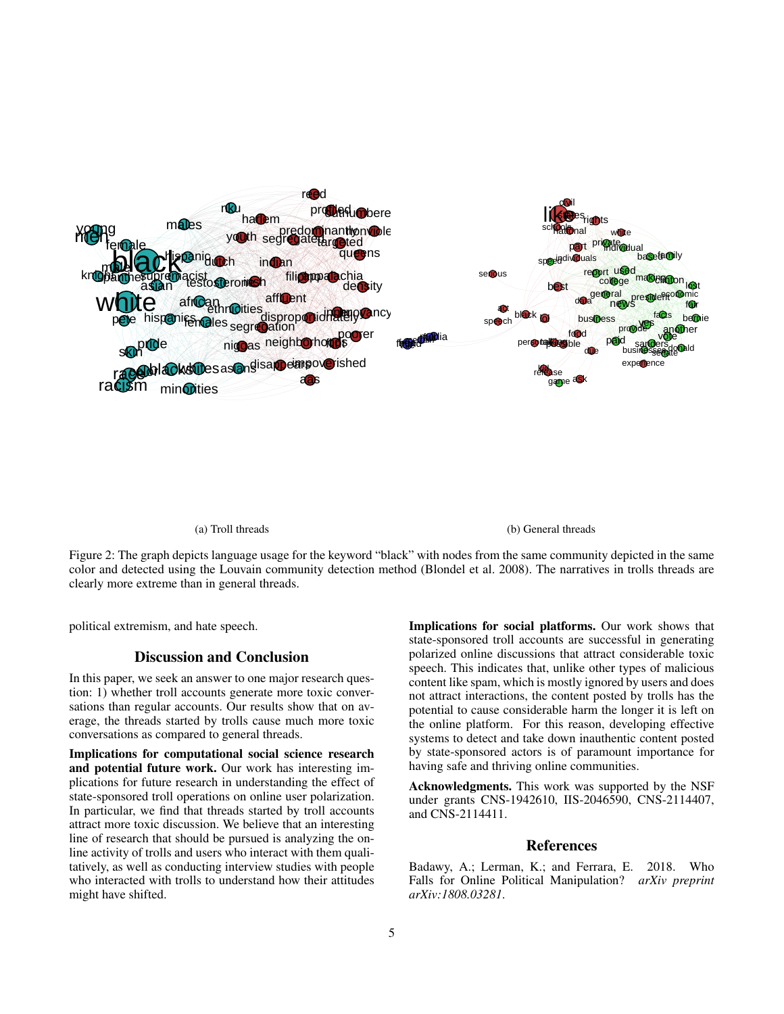

(b) General threads

Figure 2: The graph depicts language usage for the keyword "black" with nodes from the same community depicted in the same color and detected using the Louvain community detection method (Blondel et al. 2008). The narratives in trolls threads are clearly more extreme than in general threads.

political extremism, and hate speech.

## Discussion and Conclusion

In this paper, we seek an answer to one major research question: 1) whether troll accounts generate more toxic conversations than regular accounts. Our results show that on average, the threads started by trolls cause much more toxic conversations as compared to general threads.

Implications for computational social science research and potential future work. Our work has interesting implications for future research in understanding the effect of state-sponsored troll operations on online user polarization. In particular, we find that threads started by troll accounts attract more toxic discussion. We believe that an interesting line of research that should be pursued is analyzing the online activity of trolls and users who interact with them qualitatively, as well as conducting interview studies with people who interacted with trolls to understand how their attitudes might have shifted.

Implications for social platforms. Our work shows that state-sponsored troll accounts are successful in generating polarized online discussions that attract considerable toxic speech. This indicates that, unlike other types of malicious content like spam, which is mostly ignored by users and does not attract interactions, the content posted by trolls has the potential to cause considerable harm the longer it is left on the online platform. For this reason, developing effective systems to detect and take down inauthentic content posted by state-sponsored actors is of paramount importance for having safe and thriving online communities.

Acknowledgments. This work was supported by the NSF under grants CNS-1942610, IIS-2046590, CNS-2114407, and CNS-2114411.

### References

Badawy, A.; Lerman, K.; and Ferrara, E. 2018. Who Falls for Online Political Manipulation? *arXiv preprint arXiv:1808.03281*.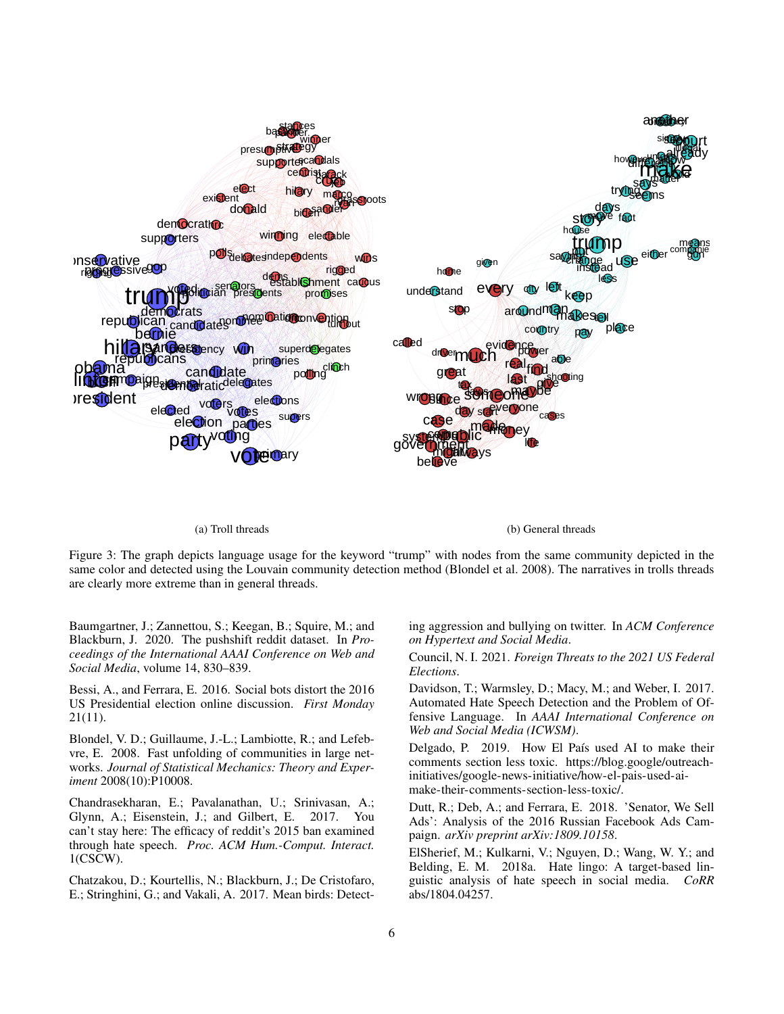

#### (a) Troll threads

(b) General threads

Figure 3: The graph depicts language usage for the keyword "trump" with nodes from the same community depicted in the same color and detected using the Louvain community detection method (Blondel et al. 2008). The narratives in trolls threads are clearly more extreme than in general threads.

Baumgartner, J.; Zannettou, S.; Keegan, B.; Squire, M.; and Blackburn, J. 2020. The pushshift reddit dataset. In *Proceedings of the International AAAI Conference on Web and Social Media*, volume 14, 830–839.

Bessi, A., and Ferrara, E. 2016. Social bots distort the 2016 US Presidential election online discussion. *First Monday* 21(11).

Blondel, V. D.; Guillaume, J.-L.; Lambiotte, R.; and Lefebvre, E. 2008. Fast unfolding of communities in large networks. *Journal of Statistical Mechanics: Theory and Experiment* 2008(10):P10008.

Chandrasekharan, E.; Pavalanathan, U.; Srinivasan, A.; Glynn, A.; Eisenstein, J.; and Gilbert, E. 2017. You can't stay here: The efficacy of reddit's 2015 ban examined through hate speech. *Proc. ACM Hum.-Comput. Interact.* 1(CSCW).

Chatzakou, D.; Kourtellis, N.; Blackburn, J.; De Cristofaro, E.; Stringhini, G.; and Vakali, A. 2017. Mean birds: Detecting aggression and bullying on twitter. In *ACM Conference on Hypertext and Social Media*.

Council, N. I. 2021. *Foreign Threats to the 2021 US Federal Elections*.

Davidson, T.; Warmsley, D.; Macy, M.; and Weber, I. 2017. Automated Hate Speech Detection and the Problem of Offensive Language. In *AAAI International Conference on Web and Social Media (ICWSM)*.

Delgado, P. 2019. How El País used AI to make their comments section less toxic. https://blog.google/outreachinitiatives/google-news-initiative/how-el-pais-used-aimake-their-comments-section-less-toxic/.

Dutt, R.; Deb, A.; and Ferrara, E. 2018. 'Senator, We Sell Ads': Analysis of the 2016 Russian Facebook Ads Campaign. *arXiv preprint arXiv:1809.10158*.

ElSherief, M.; Kulkarni, V.; Nguyen, D.; Wang, W. Y.; and Belding, E. M. 2018a. Hate lingo: A target-based linguistic analysis of hate speech in social media. *CoRR* abs/1804.04257.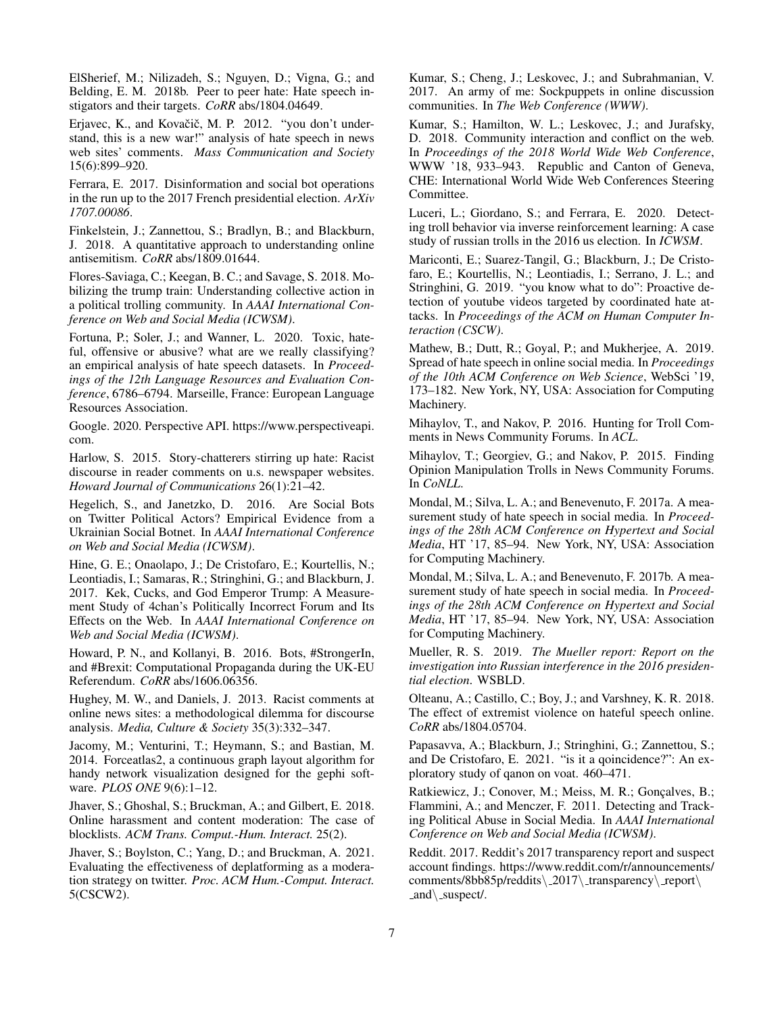ElSherief, M.; Nilizadeh, S.; Nguyen, D.; Vigna, G.; and Belding, E. M. 2018b. Peer to peer hate: Hate speech instigators and their targets. *CoRR* abs/1804.04649.

Erjavec, K., and Kovačič, M. P. 2012. "you don't understand, this is a new war!" analysis of hate speech in news web sites' comments. *Mass Communication and Society* 15(6):899–920.

Ferrara, E. 2017. Disinformation and social bot operations in the run up to the 2017 French presidential election. *ArXiv 1707.00086*.

Finkelstein, J.; Zannettou, S.; Bradlyn, B.; and Blackburn, J. 2018. A quantitative approach to understanding online antisemitism. *CoRR* abs/1809.01644.

Flores-Saviaga, C.; Keegan, B. C.; and Savage, S. 2018. Mobilizing the trump train: Understanding collective action in a political trolling community. In *AAAI International Conference on Web and Social Media (ICWSM)*.

Fortuna, P.; Soler, J.; and Wanner, L. 2020. Toxic, hateful, offensive or abusive? what are we really classifying? an empirical analysis of hate speech datasets. In *Proceedings of the 12th Language Resources and Evaluation Conference*, 6786–6794. Marseille, France: European Language Resources Association.

Google. 2020. Perspective API. https://www.perspectiveapi. com.

Harlow, S. 2015. Story-chatterers stirring up hate: Racist discourse in reader comments on u.s. newspaper websites. *Howard Journal of Communications* 26(1):21–42.

Hegelich, S., and Janetzko, D. 2016. Are Social Bots on Twitter Political Actors? Empirical Evidence from a Ukrainian Social Botnet. In *AAAI International Conference on Web and Social Media (ICWSM)*.

Hine, G. E.; Onaolapo, J.; De Cristofaro, E.; Kourtellis, N.; Leontiadis, I.; Samaras, R.; Stringhini, G.; and Blackburn, J. 2017. Kek, Cucks, and God Emperor Trump: A Measurement Study of 4chan's Politically Incorrect Forum and Its Effects on the Web. In *AAAI International Conference on Web and Social Media (ICWSM)*.

Howard, P. N., and Kollanyi, B. 2016. Bots, #StrongerIn, and #Brexit: Computational Propaganda during the UK-EU Referendum. *CoRR* abs/1606.06356.

Hughey, M. W., and Daniels, J. 2013. Racist comments at online news sites: a methodological dilemma for discourse analysis. *Media, Culture & Society* 35(3):332–347.

Jacomy, M.; Venturini, T.; Heymann, S.; and Bastian, M. 2014. Forceatlas2, a continuous graph layout algorithm for handy network visualization designed for the gephi software. *PLOS ONE* 9(6):1–12.

Jhaver, S.; Ghoshal, S.; Bruckman, A.; and Gilbert, E. 2018. Online harassment and content moderation: The case of blocklists. *ACM Trans. Comput.-Hum. Interact.* 25(2).

Jhaver, S.; Boylston, C.; Yang, D.; and Bruckman, A. 2021. Evaluating the effectiveness of deplatforming as a moderation strategy on twitter. *Proc. ACM Hum.-Comput. Interact.* 5(CSCW2).

Kumar, S.; Cheng, J.; Leskovec, J.; and Subrahmanian, V. 2017. An army of me: Sockpuppets in online discussion communities. In *The Web Conference (WWW)*.

Kumar, S.; Hamilton, W. L.; Leskovec, J.; and Jurafsky, D. 2018. Community interaction and conflict on the web. In *Proceedings of the 2018 World Wide Web Conference*, WWW '18, 933–943. Republic and Canton of Geneva, CHE: International World Wide Web Conferences Steering Committee.

Luceri, L.; Giordano, S.; and Ferrara, E. 2020. Detecting troll behavior via inverse reinforcement learning: A case study of russian trolls in the 2016 us election. In *ICWSM*.

Mariconti, E.; Suarez-Tangil, G.; Blackburn, J.; De Cristofaro, E.; Kourtellis, N.; Leontiadis, I.; Serrano, J. L.; and Stringhini, G. 2019. "you know what to do": Proactive detection of youtube videos targeted by coordinated hate attacks. In *Proceedings of the ACM on Human Computer Interaction (CSCW)*.

Mathew, B.; Dutt, R.; Goyal, P.; and Mukherjee, A. 2019. Spread of hate speech in online social media. In *Proceedings of the 10th ACM Conference on Web Science*, WebSci '19, 173–182. New York, NY, USA: Association for Computing Machinery.

Mihaylov, T., and Nakov, P. 2016. Hunting for Troll Comments in News Community Forums. In *ACL*.

Mihaylov, T.; Georgiev, G.; and Nakov, P. 2015. Finding Opinion Manipulation Trolls in News Community Forums. In *CoNLL*.

Mondal, M.; Silva, L. A.; and Benevenuto, F. 2017a. A measurement study of hate speech in social media. In *Proceedings of the 28th ACM Conference on Hypertext and Social Media*, HT '17, 85–94. New York, NY, USA: Association for Computing Machinery.

Mondal, M.; Silva, L. A.; and Benevenuto, F. 2017b. A measurement study of hate speech in social media. In *Proceedings of the 28th ACM Conference on Hypertext and Social Media*, HT '17, 85–94. New York, NY, USA: Association for Computing Machinery.

Mueller, R. S. 2019. *The Mueller report: Report on the investigation into Russian interference in the 2016 presidential election*. WSBLD.

Olteanu, A.; Castillo, C.; Boy, J.; and Varshney, K. R. 2018. The effect of extremist violence on hateful speech online. *CoRR* abs/1804.05704.

Papasavva, A.; Blackburn, J.; Stringhini, G.; Zannettou, S.; and De Cristofaro, E. 2021. "is it a qoincidence?": An exploratory study of qanon on voat. 460–471.

Ratkiewicz, J.; Conover, M.; Meiss, M. R.; Gonçalves, B.; Flammini, A.; and Menczer, F. 2011. Detecting and Tracking Political Abuse in Social Media. In *AAAI International Conference on Web and Social Media (ICWSM)*.

Reddit. 2017. Reddit's 2017 transparency report and suspect account findings. https://www.reddit.com/r/announcements/  $comments/8bb85p/reddits\2017\\t\ttransparacy\<sub>report</sub>$  $\text{and}\square$ suspect/.